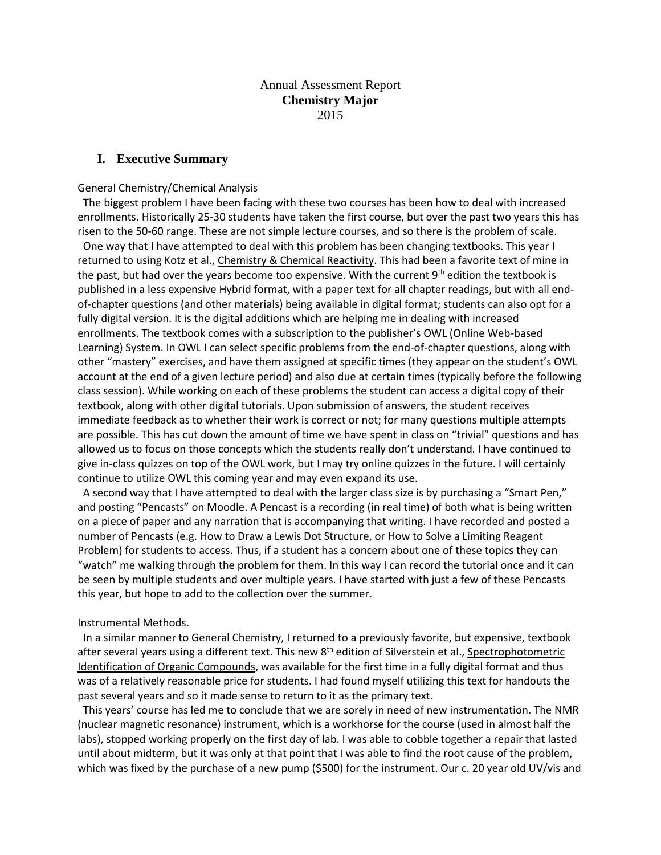# Annual Assessment Report **Chemistry Major** 2015

## **I. Executive Summary**

#### General Chemistry/Chemical Analysis

 The biggest problem I have been facing with these two courses has been how to deal with increased enrollments. Historically 25-30 students have taken the first course, but over the past two years this has risen to the 50-60 range. These are not simple lecture courses, and so there is the problem of scale.

 One way that I have attempted to deal with this problem has been changing textbooks. This year I returned to using Kotz et al., Chemistry & Chemical Reactivity. This had been a favorite text of mine in the past, but had over the years become too expensive. With the current 9<sup>th</sup> edition the textbook is published in a less expensive Hybrid format, with a paper text for all chapter readings, but with all endof-chapter questions (and other materials) being available in digital format; students can also opt for a fully digital version. It is the digital additions which are helping me in dealing with increased enrollments. The textbook comes with a subscription to the publisher's OWL (Online Web-based Learning) System. In OWL I can select specific problems from the end-of-chapter questions, along with other "mastery" exercises, and have them assigned at specific times (they appear on the student's OWL account at the end of a given lecture period) and also due at certain times (typically before the following class session). While working on each of these problems the student can access a digital copy of their textbook, along with other digital tutorials. Upon submission of answers, the student receives immediate feedback as to whether their work is correct or not; for many questions multiple attempts are possible. This has cut down the amount of time we have spent in class on "trivial" questions and has allowed us to focus on those concepts which the students really don't understand. I have continued to give in-class quizzes on top of the OWL work, but I may try online quizzes in the future. I will certainly continue to utilize OWL this coming year and may even expand its use.

 A second way that I have attempted to deal with the larger class size is by purchasing a "Smart Pen," and posting "Pencasts" on Moodle. A Pencast is a recording (in real time) of both what is being written on a piece of paper and any narration that is accompanying that writing. I have recorded and posted a number of Pencasts (e.g. How to Draw a Lewis Dot Structure, or How to Solve a Limiting Reagent Problem) for students to access. Thus, if a student has a concern about one of these topics they can "watch" me walking through the problem for them. In this way I can record the tutorial once and it can be seen by multiple students and over multiple years. I have started with just a few of these Pencasts this year, but hope to add to the collection over the summer.

#### Instrumental Methods.

 In a similar manner to General Chemistry, I returned to a previously favorite, but expensive, textbook after several years using a different text. This new 8<sup>th</sup> edition of Silverstein et al., Spectrophotometric Identification of Organic Compounds, was available for the first time in a fully digital format and thus was of a relatively reasonable price for students. I had found myself utilizing this text for handouts the past several years and so it made sense to return to it as the primary text.

 This years' course has led me to conclude that we are sorely in need of new instrumentation. The NMR (nuclear magnetic resonance) instrument, which is a workhorse for the course (used in almost half the labs), stopped working properly on the first day of lab. I was able to cobble together a repair that lasted until about midterm, but it was only at that point that I was able to find the root cause of the problem, which was fixed by the purchase of a new pump (\$500) for the instrument. Our c. 20 year old UV/vis and